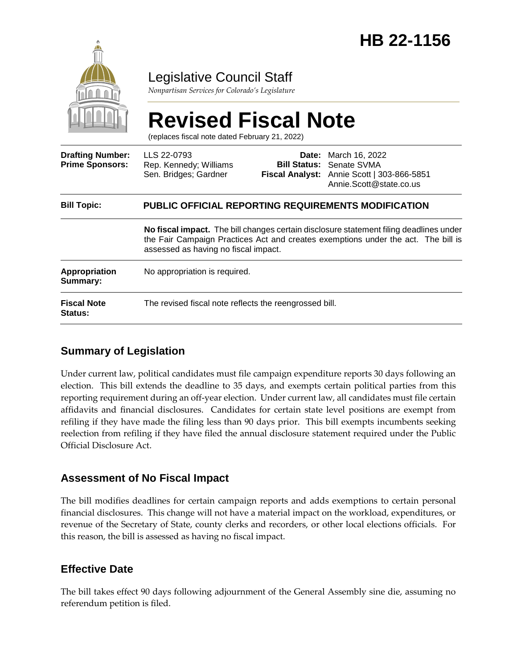

### Legislative Council Staff

*Nonpartisan Services for Colorado's Legislature*

# **Revised Fiscal Note**

(replaces fiscal note dated February 21, 2022)

| <b>Drafting Number:</b><br><b>Prime Sponsors:</b> | LLS 22-0793<br>Rep. Kennedy; Williams<br>Sen. Bridges; Gardner                                                                                                                                                                                                                    |  | <b>Date:</b> March 16, 2022<br><b>Bill Status: Senate SVMA</b><br>Fiscal Analyst: Annie Scott   303-866-5851<br>Annie.Scott@state.co.us |
|---------------------------------------------------|-----------------------------------------------------------------------------------------------------------------------------------------------------------------------------------------------------------------------------------------------------------------------------------|--|-----------------------------------------------------------------------------------------------------------------------------------------|
| <b>Bill Topic:</b>                                | <b>PUBLIC OFFICIAL REPORTING REQUIREMENTS MODIFICATION</b><br>No fiscal impact. The bill changes certain disclosure statement filing deadlines under<br>the Fair Campaign Practices Act and creates exemptions under the act. The bill is<br>assessed as having no fiscal impact. |  |                                                                                                                                         |
|                                                   |                                                                                                                                                                                                                                                                                   |  |                                                                                                                                         |
| <b>Appropriation</b><br>Summary:                  | No appropriation is required.                                                                                                                                                                                                                                                     |  |                                                                                                                                         |
| <b>Fiscal Note</b><br><b>Status:</b>              | The revised fiscal note reflects the reengrossed bill.                                                                                                                                                                                                                            |  |                                                                                                                                         |

#### **Summary of Legislation**

Under current law, political candidates must file campaign expenditure reports 30 days following an election. This bill extends the deadline to 35 days, and exempts certain political parties from this reporting requirement during an off-year election. Under current law, all candidates must file certain affidavits and financial disclosures. Candidates for certain state level positions are exempt from refiling if they have made the filing less than 90 days prior. This bill exempts incumbents seeking reelection from refiling if they have filed the annual disclosure statement required under the Public Official Disclosure Act.

#### **Assessment of No Fiscal Impact**

The bill modifies deadlines for certain campaign reports and adds exemptions to certain personal financial disclosures. This change will not have a material impact on the workload, expenditures, or revenue of the Secretary of State, county clerks and recorders, or other local elections officials. For this reason, the bill is assessed as having no fiscal impact.

#### **Effective Date**

The bill takes effect 90 days following adjournment of the General Assembly sine die, assuming no referendum petition is filed.